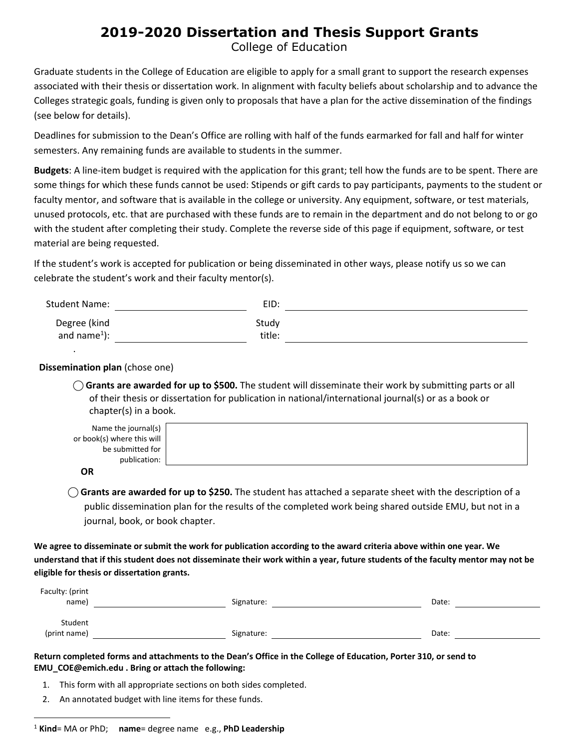## **2019-2020 Dissertation and Thesis Support Grants**

College of Education

Graduate students in the College of Education are eligible to apply for a small grant to support the research expenses associated with their thesis or dissertation work. In alignment with faculty beliefs about scholarship and to advance the Colleges strategic goals, funding is given only to proposals that have a plan for the active dissemination of the findings (see below for details).

Deadlines for submission to the Dean's Office are rolling with half of the funds earmarked for fall and half for winter semesters. Any remaining funds are available to students in the summer.

**Budgets**: A line‐item budget is required with the application for this grant; tell how the funds are to be spent. There are some things for which these funds cannot be used: Stipends or gift cards to pay participants, payments to the student or faculty mentor, and software that is available in the college or university. Any equipment, software, or test materials, unused protocols, etc. that are purchased with these funds are to remain in the department and do not belong to or go with the student after completing their study. Complete the reverse side of this page if equipment, software, or test material are being requested.

If the student's work is accepted for publication or being disseminated in other ways, please notify us so we can celebrate the student's work and their faculty mentor(s).

| <b>Student Name:</b>               | EID:            |  |
|------------------------------------|-----------------|--|
| Degree (kind<br>and name $^{1}$ ): | Study<br>title: |  |
|                                    |                 |  |

## **Dissemination plan** (chose one)

⃝ **Grants are awarded for up to \$500.** The student will disseminate their work by submitting parts or all of their thesis or dissertation for publication in national/international journal(s) or as a book or chapter(s) in a book.

| Name the journal(s)        |  |
|----------------------------|--|
| or book(s) where this will |  |
| be submitted for           |  |
| publication:               |  |
| $\sim$                     |  |

**OR**

⃝ **Grants are awarded for up to \$250.** The student has attached a separate sheet with the description of a public dissemination plan for the results of the completed work being shared outside EMU, but not in a journal, book, or book chapter.

We agree to disseminate or submit the work for publication according to the award criteria above within one year. We understand that if this student does not disseminate their work within a year, future students of the faculty mentor may not be **eligible for thesis or dissertation grants.**

| Faculty: (print<br>name) | Signature: | Date: |  |
|--------------------------|------------|-------|--|
| Student<br>(print name)  | Signature: | Date: |  |

Return completed forms and attachments to the Dean's Office in the College of Education, Porter 310, or send to **EMU\_COE@emich.edu . Bring or attach the following:**

- 1. This form with all appropriate sections on both sides completed.
- 2. An annotated budget with line items for these funds.

<sup>1</sup> **Kind**= MA or PhD; **name**= degree name e.g., **PhD Leadership**